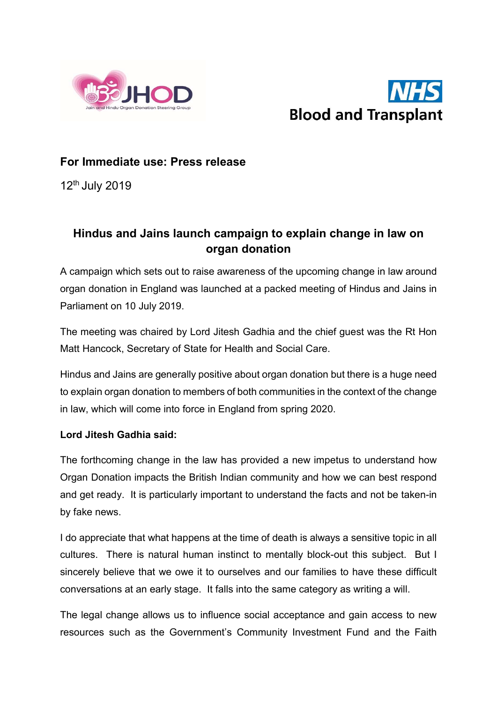



## For Immediate use: Press release

 $12<sup>th</sup>$  July 2019

# Hindus and Jains launch campaign to explain change in law on organ donation

A campaign which sets out to raise awareness of the upcoming change in law around organ donation in England was launched at a packed meeting of Hindus and Jains in Parliament on 10 July 2019.

The meeting was chaired by Lord Jitesh Gadhia and the chief guest was the Rt Hon Matt Hancock, Secretary of State for Health and Social Care.

Hindus and Jains are generally positive about organ donation but there is a huge need to explain organ donation to members of both communities in the context of the change in law, which will come into force in England from spring 2020.

### Lord Jitesh Gadhia said:

The forthcoming change in the law has provided a new impetus to understand how Organ Donation impacts the British Indian community and how we can best respond and get ready. It is particularly important to understand the facts and not be taken-in by fake news.

I do appreciate that what happens at the time of death is always a sensitive topic in all cultures. There is natural human instinct to mentally block-out this subject. But I sincerely believe that we owe it to ourselves and our families to have these difficult conversations at an early stage. It falls into the same category as writing a will.

The legal change allows us to influence social acceptance and gain access to new resources such as the Government's Community Investment Fund and the Faith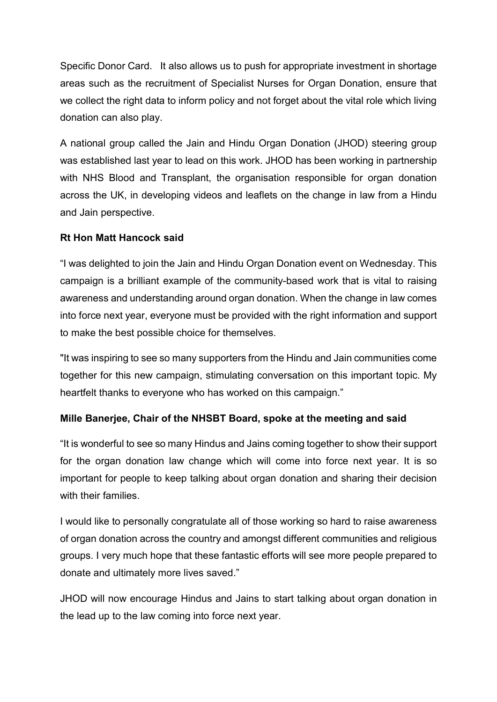Specific Donor Card. It also allows us to push for appropriate investment in shortage areas such as the recruitment of Specialist Nurses for Organ Donation, ensure that we collect the right data to inform policy and not forget about the vital role which living donation can also play.

A national group called the Jain and Hindu Organ Donation (JHOD) steering group was established last year to lead on this work. JHOD has been working in partnership with NHS Blood and Transplant, the organisation responsible for organ donation across the UK, in developing videos and leaflets on the change in law from a Hindu and Jain perspective.

## Rt Hon Matt Hancock said

"I was delighted to join the Jain and Hindu Organ Donation event on Wednesday. This campaign is a brilliant example of the community-based work that is vital to raising awareness and understanding around organ donation. When the change in law comes into force next year, everyone must be provided with the right information and support to make the best possible choice for themselves.

"It was inspiring to see so many supporters from the Hindu and Jain communities come together for this new campaign, stimulating conversation on this important topic. My heartfelt thanks to everyone who has worked on this campaign."

### Mille Banerjee, Chair of the NHSBT Board, spoke at the meeting and said

"It is wonderful to see so many Hindus and Jains coming together to show their support for the organ donation law change which will come into force next year. It is so important for people to keep talking about organ donation and sharing their decision with their families.

I would like to personally congratulate all of those working so hard to raise awareness of organ donation across the country and amongst different communities and religious groups. I very much hope that these fantastic efforts will see more people prepared to donate and ultimately more lives saved."

JHOD will now encourage Hindus and Jains to start talking about organ donation in the lead up to the law coming into force next year.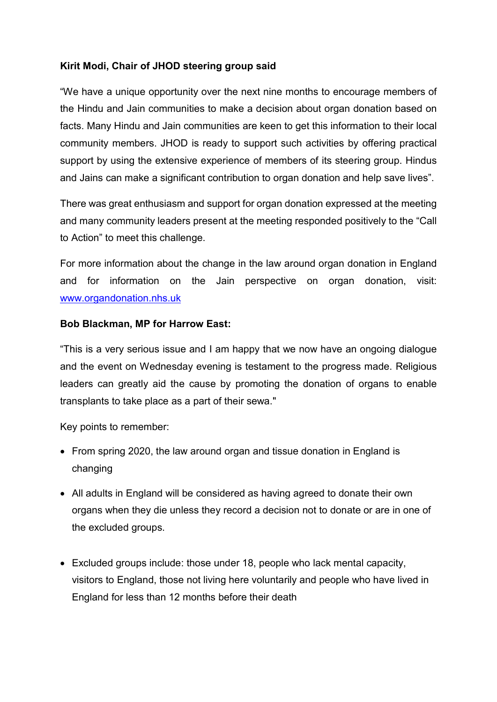## Kirit Modi, Chair of JHOD steering group said

"We have a unique opportunity over the next nine months to encourage members of the Hindu and Jain communities to make a decision about organ donation based on facts. Many Hindu and Jain communities are keen to get this information to their local community members. JHOD is ready to support such activities by offering practical support by using the extensive experience of members of its steering group. Hindus and Jains can make a significant contribution to organ donation and help save lives".

There was great enthusiasm and support for organ donation expressed at the meeting and many community leaders present at the meeting responded positively to the "Call to Action" to meet this challenge.

For more information about the change in the law around organ donation in England and for information on the Jain perspective on organ donation, visit: www.organdonation.nhs.uk

#### Bob Blackman, MP for Harrow East:

"This is a very serious issue and I am happy that we now have an ongoing dialogue and the event on Wednesday evening is testament to the progress made. Religious leaders can greatly aid the cause by promoting the donation of organs to enable transplants to take place as a part of their sewa."

Key points to remember:

- From spring 2020, the law around organ and tissue donation in England is changing
- All adults in England will be considered as having agreed to donate their own organs when they die unless they record a decision not to donate or are in one of the excluded groups.
- Excluded groups include: those under 18, people who lack mental capacity, visitors to England, those not living here voluntarily and people who have lived in England for less than 12 months before their death